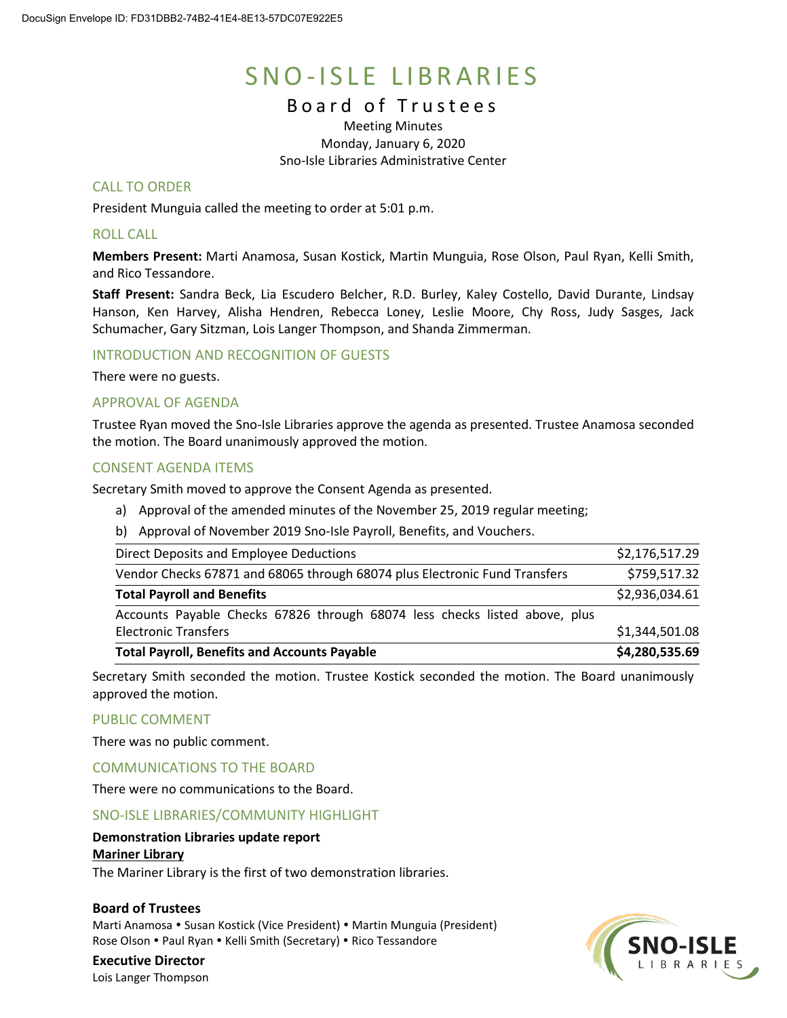# SNO-ISLE LIBRARIES

# Board of Trustees

Meeting Minutes Monday, January 6, 2020 Sno-Isle Libraries Administrative Center

# CALL TO ORDER

President Munguia called the meeting to order at 5:01 p.m.

# ROLL CALL

**Members Present:** Marti Anamosa, Susan Kostick, Martin Munguia, Rose Olson, Paul Ryan, Kelli Smith, and Rico Tessandore.

**Staff Present:** Sandra Beck, Lia Escudero Belcher, R.D. Burley, Kaley Costello, David Durante, Lindsay Hanson, Ken Harvey, Alisha Hendren, Rebecca Loney, Leslie Moore, Chy Ross, Judy Sasges, Jack Schumacher, Gary Sitzman, Lois Langer Thompson, and Shanda Zimmerman.

# INTRODUCTION AND RECOGNITION OF GUESTS

There were no guests.

# APPROVAL OF AGENDA

Trustee Ryan moved the Sno-Isle Libraries approve the agenda as presented. Trustee Anamosa seconded the motion. The Board unanimously approved the motion.

# CONSENT AGENDA ITEMS

Secretary Smith moved to approve the Consent Agenda as presented.

- a) Approval of the amended minutes of the November 25, 2019 regular meeting;
- b) Approval of November 2019 Sno-Isle Payroll, Benefits, and Vouchers.

| <b>Total Payroll, Benefits and Accounts Payable</b>                        | \$4,280,535.69 |
|----------------------------------------------------------------------------|----------------|
| <b>Electronic Transfers</b>                                                | \$1,344,501.08 |
| Accounts Payable Checks 67826 through 68074 less checks listed above, plus |                |
| <b>Total Payroll and Benefits</b>                                          | \$2,936,034.61 |
| Vendor Checks 67871 and 68065 through 68074 plus Electronic Fund Transfers | \$759,517.32   |
| Direct Deposits and Employee Deductions                                    | \$2,176,517.29 |

Secretary Smith seconded the motion. Trustee Kostick seconded the motion. The Board unanimously approved the motion.

# PUBLIC COMMENT

There was no public comment.

# COMMUNICATIONS TO THE BOARD

There were no communications to the Board.

# SNO-ISLE LIBRARIES/COMMUNITY HIGHLIGHT

# **Demonstration Libraries update report**

# **Mariner Library**

The Mariner Library is the first of two demonstration libraries.

#### **Board of Trustees**

Marti Anamosa • Susan Kostick (Vice President) • Martin Munguia (President) Rose Olson . Paul Ryan . Kelli Smith (Secretary) . Rico Tessandore

# **Executive Director**

Lois Langer Thompson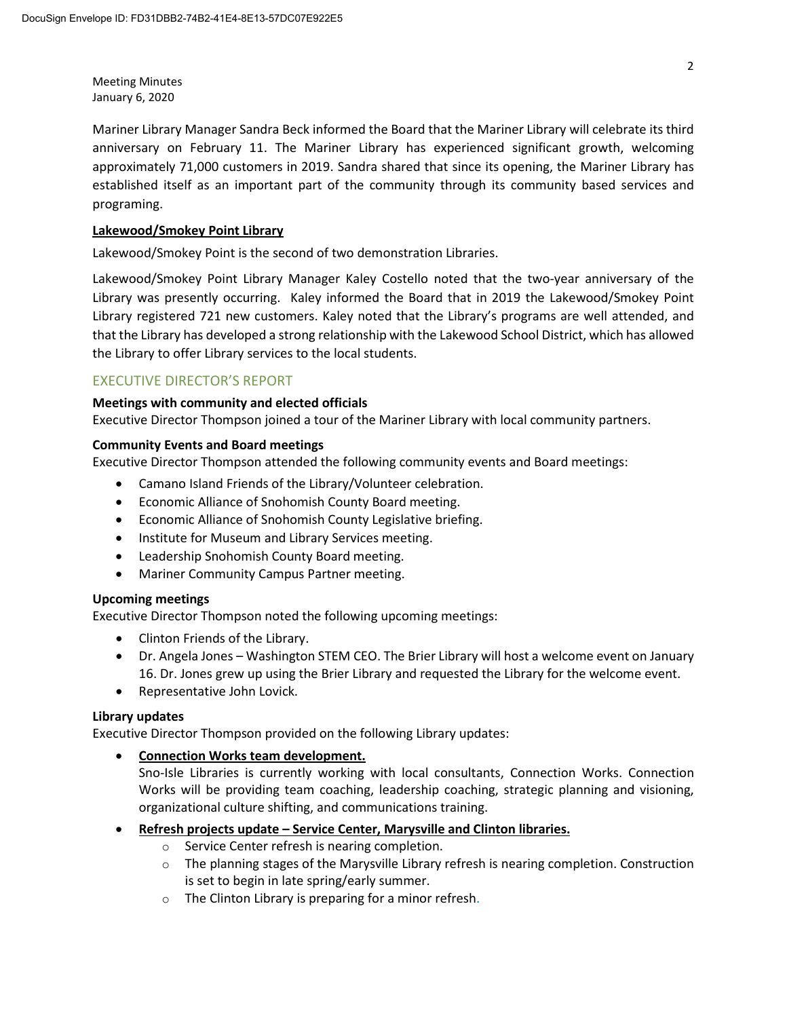Mariner Library Manager Sandra Beck informed the Board that the Mariner Library will celebrate its third anniversary on February 11. The Mariner Library has experienced significant growth, welcoming approximately 71,000 customers in 2019. Sandra shared that since its opening, the Mariner Library has established itself as an important part of the community through its community based services and programing.

# **Lakewood/Smokey Point Library**

Lakewood/Smokey Point is the second of two demonstration Libraries.

Lakewood/Smokey Point Library Manager Kaley Costello noted that the two-year anniversary of the Library was presently occurring. Kaley informed the Board that in 2019 the Lakewood/Smokey Point Library registered 721 new customers. Kaley noted that the Library's programs are well attended, and that the Library has developed a strong relationship with the Lakewood School District, which has allowed the Library to offer Library services to the local students.

# EXECUTIVE DIRECTOR'S REPORT

# **Meetings with community and elected officials**

Executive Director Thompson joined a tour of the Mariner Library with local community partners.

# **Community Events and Board meetings**

Executive Director Thompson attended the following community events and Board meetings:

- Camano Island Friends of the Library/Volunteer celebration.
- Economic Alliance of Snohomish County Board meeting.
- Economic Alliance of Snohomish County Legislative briefing.
- Institute for Museum and Library Services meeting.
- Leadership Snohomish County Board meeting.
- Mariner Community Campus Partner meeting.

# **Upcoming meetings**

Executive Director Thompson noted the following upcoming meetings:

- Clinton Friends of the Library.
- Dr. Angela Jones Washington STEM CEO. The Brier Library will host a welcome event on January 16. Dr. Jones grew up using the Brier Library and requested the Library for the welcome event.
- Representative John Lovick.

#### **Library updates**

Executive Director Thompson provided on the following Library updates:

• **Connection Works team development.**

Sno-Isle Libraries is currently working with local consultants, [Connection Works.](https://www.connectionworks.com/) Connection Works will be providing team coaching, leadership coaching, strategic planning and visioning, organizational culture shifting, and communications training.

- **Refresh projects update – Service Center, Marysville and Clinton libraries.**
	- o Service Center refresh is nearing completion.
	- $\circ$  The planning stages of the Marysville Library refresh is nearing completion. Construction is set to begin in late spring/early summer.
	- o The Clinton Library is preparing for a minor refresh.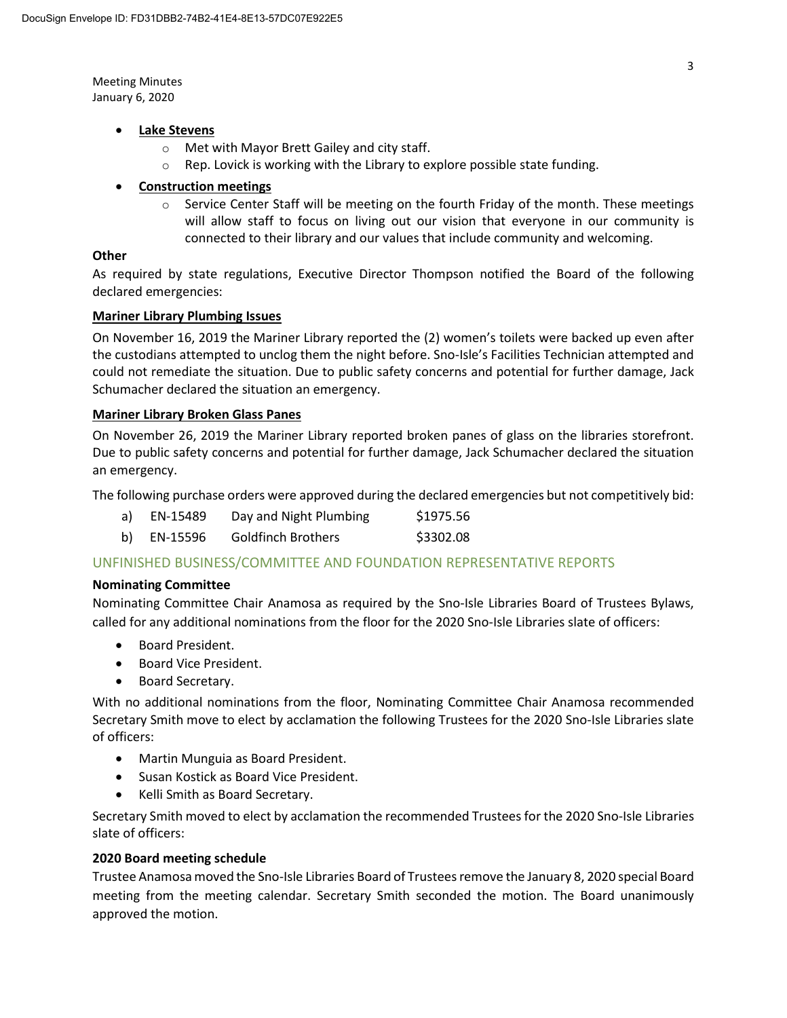# • **Lake Stevens**

- o Met with Mayor Brett Gailey and city staff.
- $\circ$  Rep. Lovick is working with the Library to explore possible state funding.

# • **Construction meetings**

 $\circ$  Service Center Staff will be meeting on the fourth Friday of the month. These meetings will allow staff to focus on living out our vision that everyone in our community is connected to their library and our values that include community and welcoming.

# **Other**

As required by state regulations, Executive Director Thompson notified the Board of the following declared emergencies:

# **Mariner Library Plumbing Issues**

On November 16, 2019 the Mariner Library reported the (2) women's toilets were backed up even after the custodians attempted to unclog them the night before. Sno-Isle's Facilities Technician attempted and could not remediate the situation. Due to public safety concerns and potential for further damage, Jack Schumacher declared the situation an emergency.

# **Mariner Library Broken Glass Panes**

On November 26, 2019 the Mariner Library reported broken panes of glass on the libraries storefront. Due to public safety concerns and potential for further damage, Jack Schumacher declared the situation an emergency.

The following purchase orders were approved during the declared emergencies but not competitively bid:

| a) | EN-15489      | Day and Night Plumbing | \$1975.56 |
|----|---------------|------------------------|-----------|
|    | $-11.2 - 0.0$ |                        | $\lambda$ |

b) EN-15596 Goldfinch Brothers \$3302.08

# UNFINISHED BUSINESS/COMMITTEE AND FOUNDATION REPRESENTATIVE REPORTS

#### **Nominating Committee**

Nominating Committee Chair Anamosa as required by the Sno-Isle Libraries Board of Trustees Bylaws, called for any additional nominations from the floor for the 2020 Sno-Isle Libraries slate of officers:

- Board President.
- Board Vice President.
- Board Secretary.

With no additional nominations from the floor, Nominating Committee Chair Anamosa recommended Secretary Smith move to elect by acclamation the following Trustees for the 2020 Sno-Isle Libraries slate of officers:

- Martin Munguia as Board President.
- Susan Kostick as Board Vice President.
- Kelli Smith as Board Secretary.

Secretary Smith moved to elect by acclamation the recommended Trustees for the 2020 Sno-Isle Libraries slate of officers:

#### **2020 Board meeting schedule**

Trustee Anamosamoved the Sno-Isle Libraries Board of Trustees remove the January 8, 2020 special Board meeting from the meeting calendar. Secretary Smith seconded the motion. The Board unanimously approved the motion.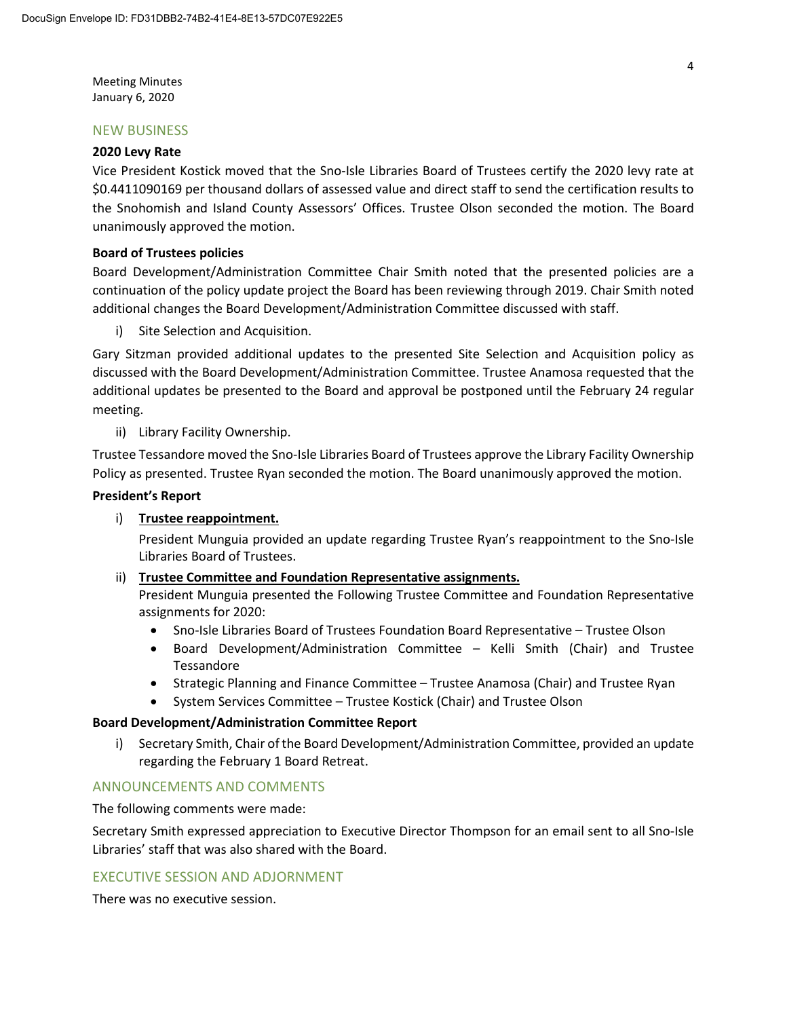#### NEW BUSINESS

#### **2020 Levy Rate**

Vice President Kostick moved that the Sno-Isle Libraries Board of Trustees certify the 2020 levy rate at \$0.4411090169 per thousand dollars of assessed value and direct staff to send the certification results to the Snohomish and Island County Assessors' Offices. Trustee Olson seconded the motion. The Board unanimously approved the motion.

# **Board of Trustees policies**

Board Development/Administration Committee Chair Smith noted that the presented policies are a continuation of the policy update project the Board has been reviewing through 2019. Chair Smith noted additional changes the Board Development/Administration Committee discussed with staff.

i) Site Selection and Acquisition.

Gary Sitzman provided additional updates to the presented Site Selection and Acquisition policy as discussed with the Board Development/Administration Committee. Trustee Anamosa requested that the additional updates be presented to the Board and approval be postponed until the February 24 regular meeting.

# ii) Library Facility Ownership.

Trustee Tessandore moved the Sno-Isle Libraries Board of Trustees approve the Library Facility Ownership Policy as presented. Trustee Ryan seconded the motion. The Board unanimously approved the motion.

# **President's Report**

# i) **Trustee reappointment.**

President Munguia provided an update regarding Trustee Ryan's reappointment to the Sno-Isle Libraries Board of Trustees.

#### ii) **Trustee Committee and Foundation Representative assignments.**

President Munguia presented the Following Trustee Committee and Foundation Representative assignments for 2020:

- Sno-Isle Libraries Board of Trustees Foundation Board Representative Trustee Olson
- Board Development/Administration Committee Kelli Smith (Chair) and Trustee Tessandore
- Strategic Planning and Finance Committee Trustee Anamosa (Chair) and Trustee Ryan
- System Services Committee Trustee Kostick (Chair) and Trustee Olson

#### **Board Development/Administration Committee Report**

i) Secretary Smith, Chair of the Board Development/Administration Committee, provided an update regarding the February 1 Board Retreat.

# ANNOUNCEMENTS AND COMMENTS

The following comments were made:

Secretary Smith expressed appreciation to Executive Director Thompson for an email sent to all Sno-Isle Libraries' staff that was also shared with the Board.

# EXECUTIVE SESSION AND ADJORNMENT

There was no executive session.